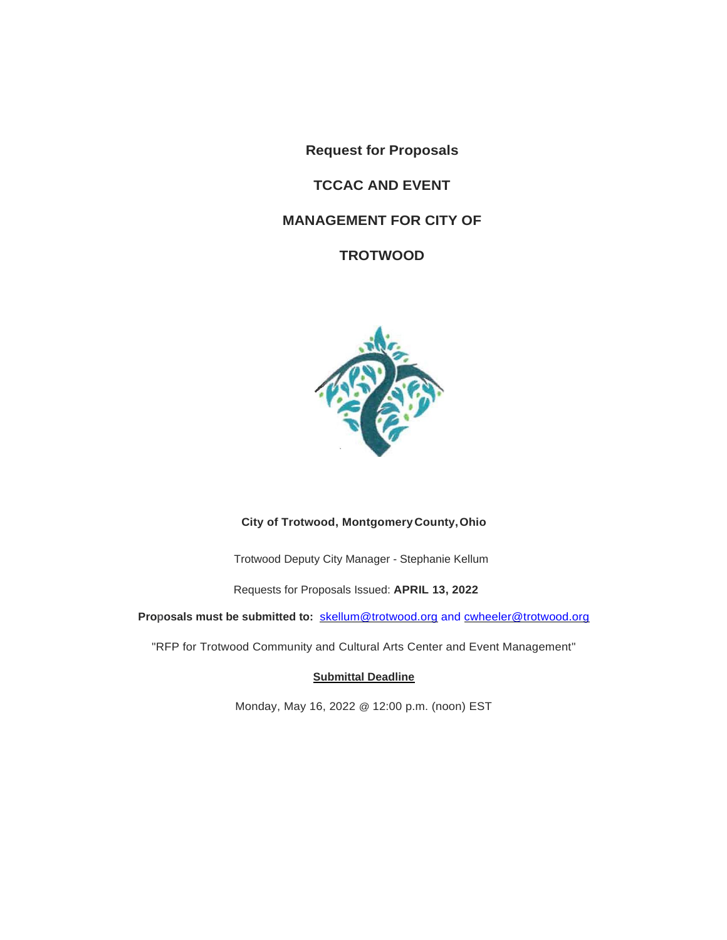**Request for Proposals** 

# **TCCAC AND EVENT**

# **MANAGEMENT FOR CITY OF**

**TROTWOOD**



# **City of Trotwood, MontgomeryCounty,Ohio**

Trotwood Deputy City Manager - Stephanie Kellum

Requests for Proposals Issued: **APRIL 13, 2022**

**Proposals must be submitted to:** [skellum@trotwood.org](mailto:skellum@trotwood.org) and [cwheeler@trotwood.org](mailto:cwheeler@trotwood.org)

"RFP for Trotwood Community and Cultural Arts Center and Event Management"

#### **Submittal Deadline**

Monday, May 16, 2022 @ 12:00 p.m. (noon) EST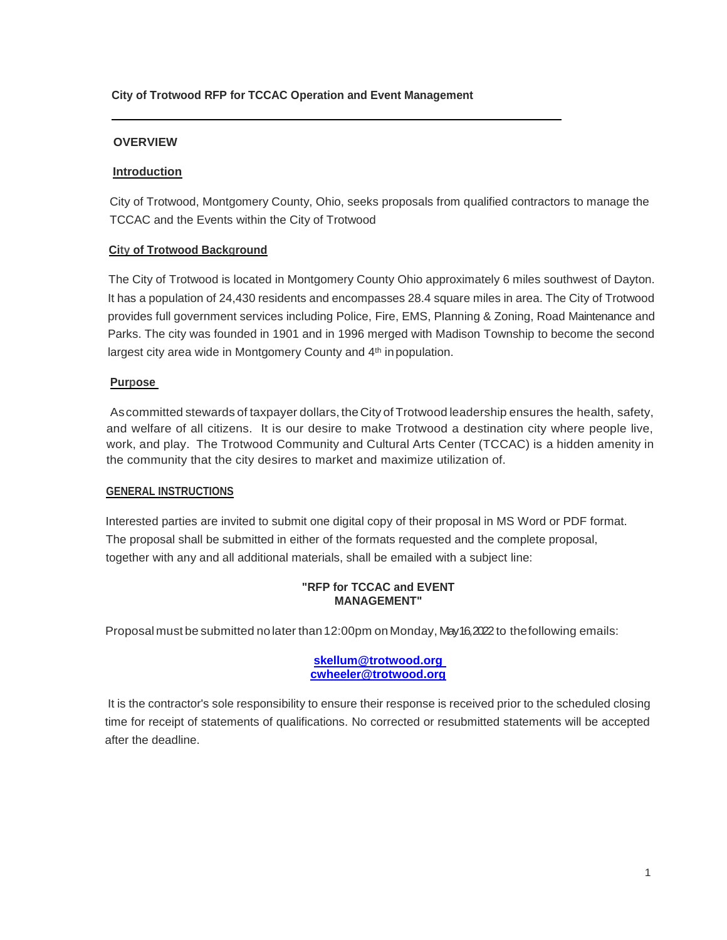#### **City of Trotwood RFP for TCCAC Operation and Event Management**

## **OVERVIEW**

## **Introduction**

City of Trotwood, Montgomery County, Ohio, seeks proposals from qualified contractors to manage the TCCAC and the Events within the City of Trotwood

#### **City of Trotwood Background**

The City of Trotwood is located in Montgomery County Ohio approximately 6 miles southwest of Dayton. It has a population of 24,430 residents and encompasses 28.4 square miles in area. The City of Trotwood provides full government services including Police, Fire, EMS, Planning & Zoning, Road Maintenance and Parks. The city was founded in 1901 and in 1996 merged with Madison Township to become the second largest city area wide in Montgomery County and 4<sup>th</sup> in population.

#### **Purpose**

Ascommitted stewards of taxpayer dollars, theCity of Trotwood leadership ensures the health, safety, and welfare of all citizens. It is our desire to make Trotwood a destination city where people live, work, and play. The Trotwood Community and Cultural Arts Center (TCCAC) is a hidden amenity in the community that the city desires to market and maximize utilization of.

#### **GENERAL INSTRUCTIONS**

Interested parties are invited to submit one digital copy of their proposal in MS Word or PDF format. The proposal shall be submitted in either of the formats requested and the complete proposal, together with any and all additional materials, shall be emailed with a subject line:

#### **"RFP for TCCAC and EVENT MANAGEMENT"**

Proposal must be submitted no later than 12:00pm on Monday, May 16,2022 to the following emails:

#### **[skellum@trotwood.org](mailto:skellum@trotwood.org) cwheeler@trotwood.org**

It is the contractor's sole responsibility to ensure their response is received prior to the scheduled closing time for receipt of statements of qualifications. No corrected or resubmitted statements will be accepted after the deadline.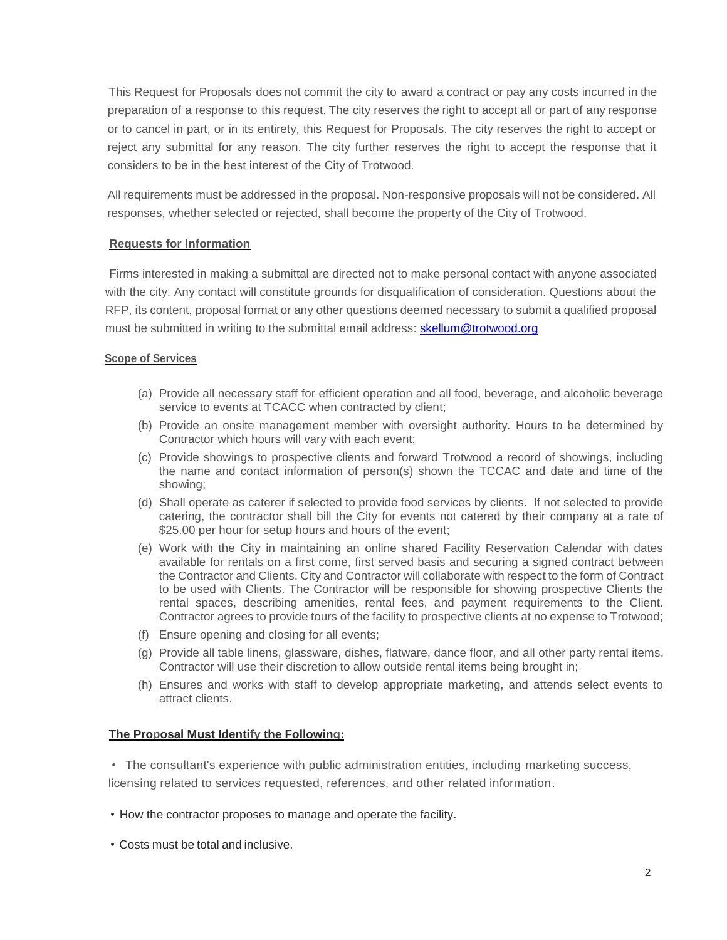This Request for Proposals does not commit the city to award a contract or pay any costs incurred in the preparation of a response to this request. The city reserves the right to accept all or part of any response or to cancel in part, or in its entirety, this Request for Proposals. The city reserves the right to accept or reject any submittal for any reason. The city further reserves the right to accept the response that it considers to be in the best interest of the City of Trotwood.

All requirements must be addressed in the proposal. Non-responsive proposals will not be considered. All responses, whether selected or rejected, shall become the property of the City of Trotwood.

## **Requests for Information**

Firms interested in making a submittal are directed not to make personal contact with anyone associated with the city. Any contact will constitute grounds for disqualification of consideration. Questions about the RFP, its content, proposal format or any other questions deemed necessary to submit a qualified proposal must be submitted in writing to the submittal email address: [skellum@trotwood.org](mailto:skellum@trotwood.org)

#### **Scope of Services**

- (a) Provide all necessary staff for efficient operation and all food, beverage, and alcoholic beverage service to events at TCACC when contracted by client;
- (b) Provide an onsite management member with oversight authority. Hours to be determined by Contractor which hours will vary with each event;
- (c) Provide showings to prospective clients and forward Trotwood a record of showings, including the name and contact information of person(s) shown the TCCAC and date and time of the showing;
- (d) Shall operate as caterer if selected to provide food services by clients. If not selected to provide catering, the contractor shall bill the City for events not catered by their company at a rate of \$25.00 per hour for setup hours and hours of the event;
- (e) Work with the City in maintaining an online shared Facility Reservation Calendar with dates available for rentals on a first come, first served basis and securing a signed contract between the Contractor and Clients. City and Contractor will collaborate with respect to the form of Contract to be used with Clients. The Contractor will be responsible for showing prospective Clients the rental spaces, describing amenities, rental fees, and payment requirements to the Client. Contractor agrees to provide tours of the facility to prospective clients at no expense to Trotwood;
- (f) Ensure opening and closing for all events;
- (g) Provide all table linens, glassware, dishes, flatware, dance floor, and all other party rental items. Contractor will use their discretion to allow outside rental items being brought in;
- (h) Ensures and works with staff to develop appropriate marketing, and attends select events to attract clients.

# **The Proposal Must Identify the Following:**

• The consultant's experience with public administration entities, including marketing success,

licensing related to services requested, references, and other related information.

- How the contractor proposes to manage and operate the facility.
- Costs must be total and inclusive.